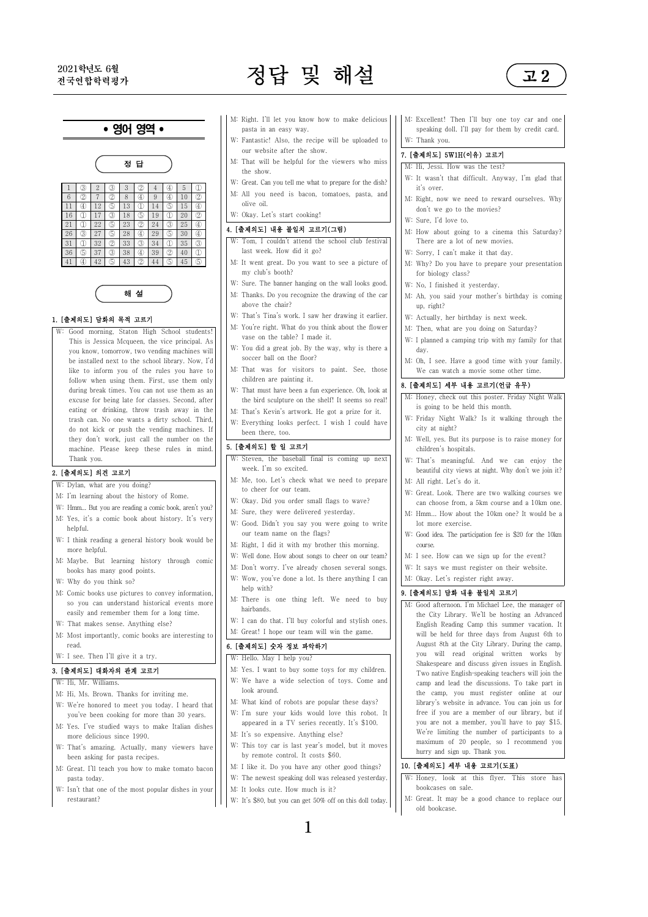# 2021학년도 6월 2021학년도 6월 2021학년도 5월 2021학년도 6월 2021학년도 5월 2021학년도 3월 2021학년도 3월 2022



## • 영어 영역 •



|                 |    |              |     |    |     |    |     |    |   | W: Great. Can you tell me what to prep. |
|-----------------|----|--------------|-----|----|-----|----|-----|----|---|-----------------------------------------|
|                 | 3  |              | (3) |    |     |    | (4) |    | X |                                         |
| $6\overline{6}$ | 2  |              | 2   |    | G)  | 9  | Œ   | 10 | 2 | M: All you need is bacon, tomato        |
| 11              | 40 | 12           | (5) | 13 |     | 14 | 6   | 15 | ④ | olive oil.                              |
| 16              |    | 17           | 3   | 18 | (5) | 19 |     | 20 | 2 | W: Okay. Let's start cooking!           |
| 21              |    | $22^{\circ}$ | ි   | 23 | 2   | 24 | (3) | 25 | ④ | 4. [출제의도] 내용 불일치 고르기(그림                 |
| 26              | 3  | 27           | (5) | 28 | 40  | 29 | (5) | 30 | ④ |                                         |
| 31              |    | 32           | 2   | 33 | 3   | 34 |     | 35 | 3 | W: Tom, I couldn't attend the scho      |
| 36              | ගි | 37           | 3   | 38 | G)  | 39 | 2   | 40 | D | last week. How did it go?               |
| 41              |    | 42           | ß)  | 43 | 2   | 44 | (5) | 45 | ௫ | M: It went great. Do you want to se     |

해 설

### 1. [출제의도] 담화의 목적 고르기

W: Good morning, Staton High School students! This is Jessica Mcqueen, the vice principal. As you know, tomorrow, two vending machines will be installed next to the school library. Now, I'd like to inform you of the rules you have to follow when using them. First, use them only during break times. You can not use them as an excuse for being late for classes. Second, after eating or drinking, throw trash away in the trash can. No one wants a dirty school. Third, do not kick or push the vending machines. If they don't work, just call the number on the machine. Please keep these rules in mind. Thank you.

### 2. [출제의도] 의견 고르기

W: Dylan, what are you doing?

- M: I'm learning about the history of Rome.
- W: Hmm... But you are reading a comic book, aren't you? M: Yes, it's a comic book about history. It's very helpful.
- W: I think reading a general history book would be more helpful.
- M: Maybe. But learning history through comic  $\left|\right|$  W. Well done, riow about solute to the unit of the unit of the health has mean good points. books has many good points.
- W: Why do you think so?
- M: Comic books use pictures to convey information, so you can understand historical events more easily and remember them for a long time.
- W: That makes sense. Anything else?
- M: Most importantly, comic books are interesting to read.
- W: I see. Then I'll give it a try.

#### 3. [출제의도] 대화자의 관계 고르기

- W: Hi, Mr. Williams.
- M: Hi, Ms. Brown. Thanks for inviting me.
- W: We're honored to meet you today. I heard that you've been cooking for more than 30 years.
- M: Yes. I've studied ways to make Italian dishes more delicious since 1990.
- been asking for pasta recipes.
- M: Great. I'll teach you how to make tomato bacon pasta today.
- W: Isn't that one of the most popular dishes in your restaurant?
- pasta in an easy way.
- W: Fantastic! Also, the recipe will be uploaded to our website after the show.
- M: That will be helpful for the viewers who miss the show.
- W: Great. Can you tell me what to prepare for the dish? M: All you need is bacon, tomatoes, pasta, and olive oil.
- 

#### 4. [출제의도] 내용 불일치 고르기(그림)

- W: Tom, I couldn't attend the school club festival last week. How did it go?
- $\frac{41}{\omega}$   $\frac{42}{\omega}$   $\frac{43}{\omega}$   $\frac{44}{\omega}$   $\frac{45}{\omega}$   $\frac{6}{\omega}$  N: It went great. Do you want to see a picture of my club's booth?
	- W: Sure. The banner hanging on the wall looks good. M: Thanks. Do you recognize the drawing of the car above the chair?
	- W: That's Tina's work. I saw her drawing it earlier.
	- M: You're right. What do you think about the flower vase on the table? I made it.
	- W: You did a great job. By the way, why is there a soccer ball on the floor?
	- M: That was for visitors to paint. See, those children are painting it.
	- W: That must have been a fun experience. Oh, look at the bird sculpture on the shelf! It seems so real!
	- M: That's Kevin's artwork. He got a prize for it.
	- W: Everything looks perfect. I wish I could have been there, too.

## 5. [출제의도] 할 일 고르기

- W: Steven, the baseball final is coming up next week. I'm so excited.
- M: Me, too. Let's check what we need to prepare to cheer for our team.
- W: Okay. Did you order small flags to wave?
- M: Sure, they were delivered vesterday.
- W: Good. Didn't you say you were going to write our team name on the flags?
- M: Right, I did it with my brother this morning.
- W: Well done. How about songs to cheer on our team
- 
- W: Wow, you've done a lot. Is there anything I can help with?
- M: There is one thing left. We need to buy hairbands.
- W: I can do that. I'll buy colorful and stylish ones. M: Great! I hope our team will win the game.

#### 6. [출제의도] 숫자 정보 파악하기

#### W: Hello. May I help you?

- M: Yes. I want to buy some toys for my children.
- W: We have a wide selection of toys. Come and look around.
- M: What kind of robots are popular these days?
- W: I'm sure your kids would love this robot. It appeared in a TV series recently. It's \$100.
- M: It's so expensive. Anything else?
- W: That's amazing. Actually, many viewers have  $\left|\cdot\right|$  W: This toy car is last year's model, but it moves by remote control. It costs \$60.
	- M: I like it. Do you have any other good things?
	- W: The newest speaking doll was released yesterday.
	- M: It looks cute. How much is it?
	- W: It's \$80, but you can get 50% off on this doll today.

1

#### 7. [출제의도] 5W1H(이유) 고르기

- M: Hi, Jessi. How was the test? W: It wasn't that difficult. Anyway, I'm glad that
- it's over.
- M: Right, now we need to reward ourselves. Why don't we go to the movies?
- W: Sure, I'd love to.
- M: How about going to a cinema this Saturday? There are a lot of new movies.
- W: Sorry, I can't make it that day.
- M: Why? Do you have to prepare your presentation for biology class?
- W: No, I finished it yesterday.
- M: Ah, you said your mother's birthday is coming up, right?
- W: Actually, her birthday is next week.
- M: Then, what are you doing on Saturday?
- W: I planned a camping trip with my family for that day.
- M: Oh, I see. Have a good time with your family. We can watch a movie some other time.

### 8. [출제의도] 세부 내용 고르기(언급 유무)

- M: Honey, check out this poster. Friday Night Walk is going to be held this month.
- W: Friday Night Walk? Is it walking through the city at night?
- M: Well, yes. But its purpose is to raise money for children's hospitals.
- W: That's meaningful. And we can enjoy the beautiful city views at night. Why don't we join it? M: All right. Let's do it.
- 
- W: Great. Look. There are two walking courses we can choose from, a 5km course and a 10km one.  $M: Hmm$  How about the  $10km$  one? It would be
- lot more exercise.
- W: Good idea. The participation fee is \$20 for the 10km course.
- M: I see. How can we sign up for the event?
- W: It says we must register on their website.
- M: Okay. Let's register right away.<br>9. [출제의도] 담화 내용 불일치 고르기

M: Good afternoon. I'm Michael Lee, the manager of the City Library. We'll be hosting an Advanced English Reading Camp this summer vacation. It will be held for three days from August 6th to August 8th at the City Library. During the camp, you will read original written works by Shakespeare and discuss given issues in English. Two native English-speaking teachers will join the camp and lead the discussions. To take part in the camp, you must register online at our library's website in advance. You can join us for free if you are a member of our library, but if you are not a member, you'll have to pay \$15. We're limiting the number of participants to a maximum of 20 people, so I recommend you hurry and sign up. Thank you.

#### 10. [출제의도] 세부 내용 고르기(도표)

- W: Honey, look at this flyer. This store has bookcases on sale.
- M: Great. It may be a good chance to replace our old bookcase.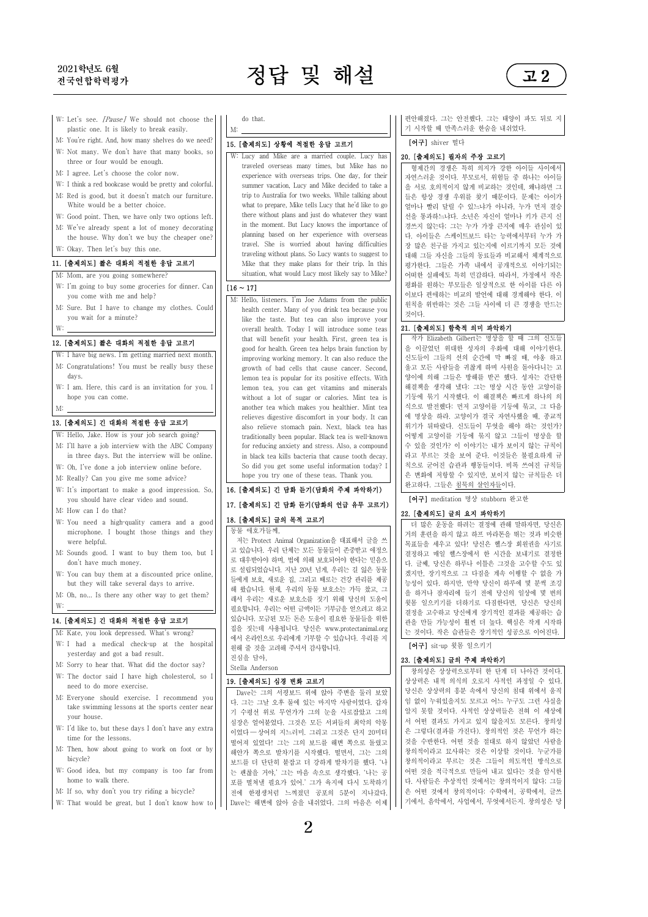# 2021학년도 6월

# $2021$ 학년도 6월 2021 - 2021학년도 6월 2021 - 2021학년도 6월 2021 - 2021 - 2021 - 2021 - 2021



- W: Let's see. *[Pause]* We should not choose the  $\vert \ \vert$ plastic one. It is likely to break easily.
- M: You're right. And, how many shelves do we need? W: Not many. We don't have that many books, so three or four would be enough.
- M: I agree. Let's choose the color now.
- W: I think a red bookcase would be pretty and colorful.
- M: Red is good, but it doesn't match our furniture. White would be a better choice.
- W: Good point. Then, we have only two options left.
- M: We've already spent a lot of money decorating the house. Why don't we buy the cheaper one? W: Okay. Then let's buy this one.

## M: Mom, are you going somewhere?

- W: I'm going to buy some groceries for dinner. Can you come with me and help?
- M: Sure. But I have to change my clothes. Could you wait for a minute?

- W: I have big news. I'm getting married next month. M: Congratulations! You must be really busy thes days.
- W: I am. Here, this card is an invitation for you. I hope you can come.
- 

# M: 13. [출제의도] 긴 대화의 적절한 응답 고르기

- W: Hello, Jake. How is your job search going? M: I'll have a job interview with the ABC Company
- in three days. But the interview will be online.
- W: Oh, I've done a job interview online before. M: Really? Can you give me some advice?
- W: It's important to make a good impression. So, you should have clear video and sound.
- M: How can I do that?
- W: You need a high-quality camera and a good microphone. I bought those things and they were helpful.
- M: Sounds good. I want to buy them too, but I don't have much money.
- W: You can buy them at a discounted price online, but they will take several days to arrive.
- M: Oh, no... Is there any other way to get them?

# W: 14. [출제의도] 긴 대화의 적절한 응답 고르기

- M: Kate, you look depressed. What's wrong?
- W: I had a medical check-up at the hospital yesterday and got a bad result.
- M: Sorry to hear that. What did the doctor say? W: The doctor said I have high cholesterol, so I need to do more exercise.
- M: Everyone should exercise. I recommend you take swimming lessons at the sports center near your house.
- W: I'd like to, but these days I don't have any extra time for the lessons.
- M: Then, how about going to work on foot or by bicycle?
- W: Good idea, but my company is too far from home to walk there.
- M: If so, why don't you try riding a bicycle?
- W: That would be great, but I don't know how to

#### do that.

# M: 15. [출제의도] 상황에 적절한 응답 고르기

11. [출제의도] 짧은 대화의 적절한 응답 고르기 W: Lucy and Mike are a married couple. Lucy has traveled overseas many times, but Mike has no experience with overseas trips. One day, for their summer vacation, Lucy and Mike decided to take a trip to Australia for two weeks. While talking about what to prepare, Mike tells Lucy that he'd like to go there without plans and just do whatever they want in the moment. But Lucy knows the importance of planning based on her experience with overseas travel. She is worried about having difficulties traveling without plans. So Lucy wants to suggest to situation, what would Lucy most likely say to Mike?

## $[16 \sim 17]$

W: 12. [출제의도] 짧은 대화의 적절한 응답 고르기 M: Hello, listeners. I'm Joe Adams from the public health center. Many of you drink tea because you like the taste. But tea can also improve your overall health. Today I will introduce some teas that will benefit your health. First, green tea is improving working memory. It can also reduce the growth of bad cells that cause cancer. Second, lemon tea is popular for its positive effects. With lemon tea, you can get vitamins and minerals without a lot of sugar or calories. Mint tea is another tea which makes you healthier. Mint tea relieves digestive discomfort in your body. It can also relieve stomach pain. Next, black tea has traditionally been popular. Black tea is well‑known for reducing anxiety and stress. Also, a compound in black tea kills bacteria that cause tooth decay. So did you get some useful information today? I hope you try one of these teas. Thank you.

## 16. [출제의도] 긴 담화 듣기(담화의 주제 파악하기) 17. [출제의도] 긴 담화 듣기(담화의 언급 유무 고르기) 18. [출제의도] 글의 목적 고르기

동물 애호가들께,

저는 Protect Animal Organization을 대표해서 글을 쓰 고 있습니다. 우리 단체는 모든 동물들이 존중받고 애정으 로 대우받아야 하며, 법에 의해 보호되어야 한다는 믿음으 로 설립되었습니다. 지난 20년 넘게, 우리는 길 잃은 동물 들에게 보호, 새로운 집, 그리고 때로는 건강 관리를 제공 해 왔습니다. 현재, 우리의 동물 보호소는 가득 찼고, 그 래서 우리는 새로운 보호소를 짓기 위해 당신의 도움이 필요합니다. 우리는 어떤 금액이든 기부금을 얻으려고 하고 있습니다. 모금된 모든 돈은 도움이 필요한 동물들을 위한 집을 짓는데 사용됩니다. 당신은 www.protectanimal.org 에서 온라인으로 우리에게 기부할 수 있습니다. 우리를 지 원해 줄 것을 고려해 주셔서 감사합니다. 진심을 담아,

Stella Anderson

## 19. [출제의도] 심경 변화 고르기

다. 그는 그날 오후 물에 있는 마지막 사람이었다. 갑자 기 수평선 위로 무언가가 그의 눈을 사로잡았고 그의 심장은 얼어붙었다. 그것은 모든 서퍼들의 최악의 악몽 이었다 ― 상어의 지느러미. 그리고 그것은 단지 20미터 떨어져 있었다! 그는 그의 보드를 해변 쪽으로 돌렸고 해안가 쪽으로 발차기를 시작했다. 떨면서, 그는 그의 보드를 더 단단히 붙잡고 더 강하게 발차기를 했다. '나 는 괜찮을 거야,' 그는 마음 속으로 생각했다. '나는 공 포를 떨쳐낼 필요가 있어.' 그가 육지에 다시 도착하기<br>전에 한평생처럼 느껴졌던 공포의 5분이 지나갔다.  $D$ ave는 해변에 앉아 숨을 내쉬었다. 그의 마음은 이제 편안해졌다. 그는 안전했다. 그는 태양이 파도 뒤로 지 기 시작할 때 만족스러운 한숨을 내쉬었다.

#### [어구] shiver 떨다

## 20. [출제의도] 필자의 주장 고르기

형제간의 경쟁은 특히 의지가 강한 아이들 사이에서 자연스러운 것이다. 부모로서, 위험들 중 하나는 아이들 을 서로 호의적이지 않게 비교하는 것인데, 왜냐하면 그 들은 항상 경쟁 우위를 찾기 때문이다. 문제는 아이가 얼마나 빨리 달릴 수 있느냐가 아니라, 누가 먼저 결승 선을 통과하느냐다. 소년은 자신이 얼마나 키가 큰지 신 경쓰지 않는다; 그는 누가 가장 큰지에 매우 관심이 있 다. 아이들은 스케이트보드 타는 능력에서부터 누가 가 장 많은 친구를 가지고 있는지에 이르기까지 모든 것에 대해 그들 자신을 그들의 동료들과 비교해서 체계적으로 평가한다. 그들은 가족 내에서 공개적으로 이야기되는 어떠한 실패에도 특히 민감하다. 따라서, 가정에서 작은 평화를 원하는 부모들은 일상적으로 한 아이를 다른 아 이보다 편애하는 비교의 발언에 대해 경계해야 한다. 이 원칙을 위반하는 것은 그들 사이에 더 큰 경쟁을 만드는 것이다.

### 21. [출제의도] 함축적 의미 파악하기

good for health. Green tea helps brain function by | | | 을 이끌었던 위대한 성자의 우화에 대해 이야기한다 작가 Elizabeth Gilbert는 명상을 할 때 그의 신도들 신도들이 그들의 선의 순간에 막 빠질 때, 야옹 하고 울고 모든 사람들을 귀찮게 하며 사원을 돌아다니는 고 양이에 의해 그들은 방해를 받곤 했다. 성자는 간단한 해결책을 생각해 냈다: 그는 명상 시간 동안 고양이를 기둥에 묶기 시작했다. 이 해결책은 빠르게 하나의 의 식으로 발전했다: 먼저 고양이를 기둥에 묶고, 그 다음 에 명상을 하라. 고양이가 결국 자연사했을 때, 종교적 위기가 뒤따랐다. 신도들이 무엇을 해야 하는 것인가? 어떻게 고양이를 기둥에 묶지 않고 그들이 명상을 할 수 있을 것인가? 이 이야기는 내가 보이지 않는 규칙이 라고 부르는 것을 보여 준다. 이것들은 불필요하게 규 칙으로 굳어진 습관과 행동들이다. 비록 쓰여진 규칙들 은 변화에 저항할 수 있지만, 보이지 않는 규칙들은 더 완고하다. 그들은 침묵의 살인자들이다.

[어구] meditation 명상 stubborn 완고한

#### 22. [출제의도] 글의 요지 파악하기

더 많은 운동을 하려는 결정에 관해 말하자면, 당신은 거의 훈련을 하지 않고 하프 마라톤을 뛰는 것과 비슷한 목표들을 세우고 있다! 당신은 헬스장 회원권을 사기로 결정하고 매일 헬스장에서 한 시간을 보내기로 결정한 다. 글쎄, 당신은 하루나 이틀은 그것을 고수할 수도 있 겠지만, 장기적으로 그 다짐을 계속 이행할 수 없을 가 능성이 있다. 하지만, 만약 당신이 하루에 몇 분씩 조깅 을 하거나 잠자리에 들기 전에 당신의 일상에 몇 번의 윗몸 일으키기를 더하기로 다짐한다면, 당신은 당신의 결정을 고수하고 당신에게 장기적인 결과를 제공하는 습 관을 만들 가능성이 훨씬 더 높다. 핵심은 작게 시작하 는 것이다. 작은 습관들은 장기적인 성공으로 이어진다.

#### $[$ 어구 $]$  sit-up 윗몸 일으키기

#### 23. [출제의도] 글의 주제 파악하기

Dave는 그의 서핑보드 위에 앉아 주변을 둘러 보았 | | 당신은 상상력의 흥분 속에서 당신의 침대 위에서 움직 창의성은 상상력으로부터 한 단계 더 나아간 것이다.<br>상상력은 내적 의식의 오로지 사적인 과정일 수 있다. 임 없이 누워있을지도 모르고 어느 누구도 그런 사실을 알지 못할 것이다. 사적인 상상력들은 전혀 이 세상에 서 어떤 결과도 가지고 있지 않을지도 모른다. 창의성 은 그렇다(결과를 가진다). 창의적인 것은 무언가 하는 것을 수반한다. 어떤 것을 절대로 하지 않았던 사람을 창의적이라고 묘사하는 것은 이상할 것이다. 누군가를 창의적이라고 부르는 것은 그들이 의도적인 방식으로 어떤 것을 적극적으로 만들어 내고 있다는 것을 암시한 다. 사람들은 추상적인 것에서는 창의적이지 않다; 그들 은 어떤 것에서 창의적이다: 수학에서, 공학에서, 글쓰 기에서, 음악에서, 사업에서, 무엇에서든지. 창의성은 당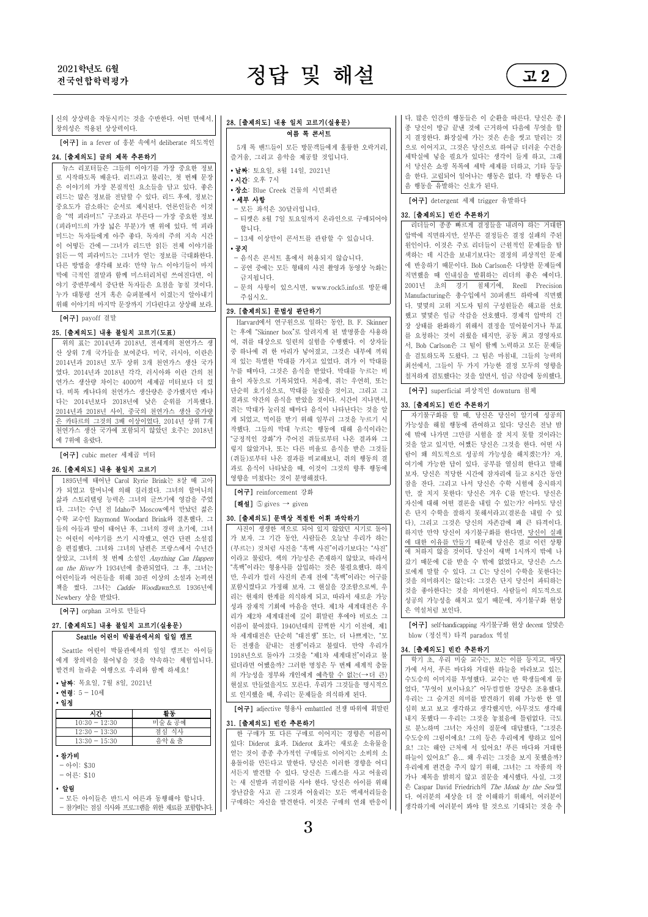# $2021$ 학년도 6월 2021 - 2021학년도 6월 2021 - 2021학년도 6월 2021 - 2021 - 2021 - 2021 - 2021

여름 록 콘서트 5개 록 밴드들이 모든 방문객들에게 훌륭한 오락거리,

28. [출제의도] 내용 일치 고르기(실용문)



신의 상상력을 작동시키는 것을 수반한다. 어떤 면에서, |<br>창의성은 적용된 상상력이다.<br>**[어구]** in a fever of 흥분 속에서 deliberate 의도적인 |

24. [출제의도] 글의 제목 추론하기 뉴스 리포터들은 그들의 이야기를 가장 중요한 정보 로 시작하도록 배운다. 리드라고 불리는, 첫 번째 문장 은 이야기의 가장 본질적인 요소들을 담고 있다. 좋은 리드는 많은 정보를 전달할 수 있다. 리드 후에, 정보는 중요도가 감소하는 순서로 제시된다. 언론인들은 이것 을 "역 피라미드" 구조라고 부른다 ― 가장 중요한 정보 (피라미드의 가장 넓은 부분)가 맨 위에 있다. 역 피라 미드는 독자들에게 아주 좋다. 독자의 주의 지속 시간 이 어떻든 간에 ― 그녀가 리드만 읽든 전체 이야기를 .<br>읽든 ― 역 피라미드는 그녀가 얻는 정보를 극대화한다.<br>다른 방법을 생각해 보라: 만약 뉴스 이야기들이 마지 막에 극적인 결말과 함께 미스터리처럼 쓰여진다면, 이 야기 중반부에서 중단한 독자들은 요점을 놓칠 것이다.<br>누가 대통령 서거 혹은 슈퍼볼에서 이경는지 알아내기 위해 이야기의 마지막 문장까지 기다린다고 상상해 보라.

#### [어구] payoff 결말

#### 25. [출제의도] 내용 불일치 고르기(도표)

위의 표는 2014년과 2018년, 전세계의 천연가스 생 산 상위 7개 국가들을 보여준다. 미국, 러시아, 이란은 2014년과 2018년 모두 상위 3개 천연가스 생산 국가 였다. 2014년과 2018년 각각, 러시아와 이란 간의 천 연가스 생산량 차이는 4000억 세제곱 미터보다 더 컸||||율이 자동으로 기록되었다. 처음에, 쥐는 우연히, 또는<br>다. 비로 캐나다이 쳐여가스 새사랴으 즈가헤지마 캐나|||| 단순히 호기식으로 막대를 눅렁을 것이고 그리고 그 다. 비록 캐나다의 천연가스 생산량은 증가했지만 캐나 다는 2014년보다 2018년에 낮은 순위를 기록했다.||| 결과로 약간의 음식을 받았을 것이다. 시간이 지나면서,<br><u>2014년과 2018년 사이, 중국의 천연가스 생산 증가량</u>||| 쥐는 막대가 눌러질 때마다 음식이 나타난다는 것을 알 은 카타르의 그것의 3배 이상이었다. 2014년 상위 7개 천연가스 생산 국가에 포함되지 않았던 호주는 2018년 에 7위에 올랐다.

[어구] cubic meter 세제곱 미터

#### 26. [출제의도] 내용 불일치 고르기

1895년에 태어난 Carol Ryrie Brink는 8살 때 고아 가 되었고 할머니에 의해 길러졌다. 그녀의 할머니의 삶과 스토리텔링 능력은 그녀의 글쓰기에 영감을 주었 다. 그녀는 수년 전 Idaho주 Moscow에서 만났던 젊은 수학 교수인 Raymond Woodard Brink와 결혼했다. 그 들의 아들과 딸이 태어난 후, 그녀의 경력 초기에, 그녀 는 어린이 이야기를 쓰기 시작했고, 연간 단편 소설집 을 편집했다. 그녀와 그녀의 남편은 프랑스에서 수년간 살았고, 그녀의 첫 번째 소설인 *Anything Can Happen* | | 이라고 불렀다. 색의 가능성은 존재하지 않았고, 따라서<br>*on the River* 가 1934년에 출판되었다. 그 후, 그녀는 | | "흑백"이라는 형용사를 삽입하는 것은 불필요했다. 하지 어린이들과 어른들을 위해 30권 이상의 소설과 논픽션 책을 썼다. 그녀는 Caddie Woodlawn으로 1936년에 Newbery 상을 받았다.

[어구] orphan 고아로 만들다

#### 27. [출제의도] 내용 불일치 고르기(실용문) Seattle 어린이 박물관에서의 일일 캠프

 Seattle 어린이 박물관에서의 일일 캠프는 아이들 에게 창의력을 불어넣을 것을 약속하는 체험입니다.<br>발견의 놀라운 여행으로 우리와 함께 하세요!<br>•**날짜**: 목요일, 7월 8일, 2021년

∙ 연령: 5 - 10세

∙ 일정

| 미술 & 공예 | $10:30 - 12:30$ |
|---------|-----------------|
| 점심 식사   | $12:30 - 13:30$ |
| 음악 & 춤  | $13:30 - 15:30$ |

## ∙ 참가비

- $-$  아이: \$30
- 어른: \$10

∙ 알림

- 모든 아이들은 반드시 어른과 동행해야 합니다. - 참가비는 점심 식사와 프로그램을 위한 재료를 포함합니다.

- 즐거움, 그리고 음악을 제공할 것입니다.<br>∙**날짜**: 토요일, 8월 14일, 2021년 ∙ 시간: 오후 7시 ∙ 장소: Blue Creek 건물의 시민회관 ∙ 세부 사항 - 티켓은 8월 7일 토요일까지 온라인으로 구매되어야 합니다. - 13세 이상만이 콘서트를 관람할 수 있습니다. ∙ 공지 - 음식은 콘서트 홀에서 허용되지 않습니다. 금지됩니다. - 문의 사항이 있으시면, www.rock5.info로 방문해
	- 주십시오.

### 29. [출제의도] 문법성 판단하기

Harvard에서 연구원으로 일하는 동안, B. F. Skinner 는 후에 "Skinner box"로 알려지게 된 발명품을 사용하 여, 쥐를 대상으로 일련의 실험을 수행했다. 이 상자들 중 하나에 쥐 한 마리가 넣어졌고, 그것은 내부에 끼워 져 있는 특별한 막대를 가지고 있었다. 쥐가 이 막대를 누를 때마다, 그것은 음식을 받았다. 막대를 누르는 비 율이 자동으로 기록되었다. 처음에, 쥐는 우연히, 또는 결과로 약간의 음식을 받았을 것이다. 시간이 지나면서, 게 되었고, 먹이를 받기 위해 일부러 그것을 누르기 시 "긍정적인 강화"가 주어진 쥐들로부터 나온 결과와 그 렇지 않았거나, 또는 다른 비율로 음식을 받은 그것들 (쥐들)로부터 나온 결과를 비교해보니, 쥐의 행동의 결 과로 음식이 나타났을 때, 이것이 그것의 향후 행동에 영향을 미쳤다는 것이 분명해졌다.<br>**[어구]** reinforcement 강화

 $[\nabla \cdot \mathbf{d}]$  (5) gives  $\rightarrow$  given

사진이 생생한 색으로 되어 있지 않았던 시기로 돌아 가 보자. 그 기간 동안, 사람들은 오늘날 우리가 하는 (부르는) 것처럼 사진을 "흑백 사진"이라기보다는 "사진" "흑백"이라는 형용사를 삽입하는 것은 불필요했다. 하지 만, 우리가 컬러 사진의 존재 전에 "흑백"이라는 어구를 포함시켰다고 가정해 보자. 그 현실을 강조함으로써, 우 리는 현재의 한계를 의식하게 되고, 따라서 새로운 가능 성과 잠재적 기회에 마음을 연다. 제1차 세계대전은 우 리가 제2차 세계대전에 깊이 휘말린 후에야 비로소 그<br>이름이 붙여졌다. 1940년대의 끔찍한 시기 이전에, 제1 차 세계대전은 단순히 "대전쟁" 또는, 더 나쁘게는, "모 든 전쟁을 끝내는 전쟁"이라고 불렸다. 만약 우리가 1918년으로 돌아가 그것을 "제1차 세계대전"이라고 불 ਜ਼ਰੀ ਮਜ਼ੋਰ ਮੰਤਰ ਅਤੇ ਇਹ ਕਰਦਾ ਹੈ ਅਤੇ ਇਸ ਦੀ ਸਾਲ ਦੀ ਸਾਲ ਦੀ ਸਾਲ ਦੀ ਸਾਲ ਦੀ ਸਾਲ ਦੀ ਸਾਲ ਦੀ ਸਾਲ ਦੀ ਸਾਲ ਦੀ ਸਾਲ ਦੀ ਸਾਲ ਦੀ<br>ਸ਼੍ਰੋਮੀ ਦੀ ਸਾਲ ਦੀ ਸਾਲ ਦੀ ਸਾਲ ਦੀ ਸਾਲ ਦੀ ਸਾਲ ਦੀ ਸਾਲ ਦੀ ਸਾਲ ਦੀ ਸਾਲ ਦੀ ਸਾਲ ਅਤੇ ਅਜਿਹੇ ਸਾਲ ਦੀ ਸਾਲ ਦੀ ਸਾਲ ਦੀ ਸਾਲ ਦੀ ਸ 의 가능성을 정부와 개인에게 예측할 수 없는(→ 더 큰) 현실로 만들었을지도 모른다. 우리가 그것들을 명시적으 로 인지했을 때, 우리는 문제들을 의식하게 된다.

[어구] adjective 형용사 embattled 전쟁 따위에 휘말린

#### 31. [출제의도] 빈칸 추론하기

한 구매가 또 다른 구매로 이어지는 경향은 이름이 있다: Diderot 효과. Diderot 효과는 새로운 소유물을 얻는 것이 종종 추가적인 구매들로 이어지는 소비의 소 용돌이를 만든다고 말한다. 당신은 이러한 경향을 어디 서든지 발견할 수 있다. 당신은 드레스를 사고 어울리 는 새 신발과 귀걸이를 사야 한다. 당신은 아이를 위해 장난감을 사고 곧 그것과 어울리는 모든 액세서리들을 구매하는 자신을 발견한다. 이것은 구매의 연쇄 반응이 다. 많은 인간의 행동들은 이 순환을 따른다. 당신은 종 종 당신이 방금 끝낸 것에 근거하여 다음에 무엇을 할 지 결정한다. 화장실에 가는 것은 손을 씻고 말리는 것 으로 이어지고, 그것은 당신으로 하여금 더러운 수건을 세탁실에 넣을 필요가 있다는 생각이 들게 하고, 그래 서 당신은 쇼핑 목록에 세탁 세제를 더하고, 기타 등등 을 한다. 고립되어 일어나는 행동은 없다. 각 행동은 다 음 행동을 유발하는 신호가 된다.

[어구] detergent 세제 trigger 유발하다

#### 32. [출제의도] 빈칸 추론하기

— 공연 중에는 모든 형태의 사진 촬영과 동영상 녹화는 | | | 에 반응하기 때문이다. Bob Carlson은 다양한 문제들에<br>\_ 글지된니다 리더들이 종종 빠르게 결정들을 내려야 하는 거대한 압박에 직면하지만, 섣부른 결정들은 결정 실패의 주된 원인이다. 이것은 주로 리더들이 근원적인 문제들을 탐 색하는 데 시간을 보내기보다는 결정의 피상적인 문제 에 반응하기 때문이다. Bob Carlson은 다양한 문제들에 <sub>2001년</sub> 초의 경기 최체기에, Reell Precision Manufacturing은 총수입에서 30퍼센트 하락에 직면했 다. 몇몇의 고위 지도자 팀의 구성원들은 해고를 선호 했고 몇몇은 임금 삭감을 선호했다. 경제적 압박의 긴 장 상태를 완화하기 위해서 결정을 밀어붙이거나 투표 를 요청하는 것이 쉬웠을 테지만, 공동 최고 경영자로 서, Bob Carlson은 그 팀이 함께 노력하고 모든 문제들 을 검토하도록 도왔다. 그 팀은 마침내, 그들의 능력의 최선에서, 그들이 두 가지 가능한 결정 모두의 영향을 철저하게 검토했다는 것을 알면서, 임금 삭감에 동의했다.

[어구] superficial 피상적인 downturn 침체

#### 33. [출제의도] 빈칸 추론하기

**30. [출제의도] 문맥상 적절한 어휘 파악하기**<br>- THE REAL THE REAL THE BOAT THE REAL THE PROPERTY OF THE PROPERTY OF THE PROPERTY OF THE PROPERTY OF THE PROPE<br>- THE REAL THE PROPERTY OF THE PROPERTY OF THE PROPERTY OF THE PROPERTY OF THE P 자기불구화를 할 때, 당신은 당신이 알기에 성공의 가능성을 해칠 행동에 관여하고 있다: 당신은 전날 밤 에 밖에 나가면 그만큼 시험을 잘 치지 못할 것이라는 것을 알고 있지만, 어쨌든 당신은 그것을 한다. 어떤 사 여기에 가능한 답이 있다. 공부를 열심히 한다고 말해 보자. 당신은 적당한 시간에 잠자리에 들고 8시간 동안 잠을 잔다. 그리고 나서 당신은 수학 시험에 응시하지 만, 잘 치지 못한다: 당신은 겨우 C를 받는다. 당신은 자신에 대해 어떤 결론을 내릴 수 있는가? 아마도 당신 은 단지 수학을 잘하지 못해서라고(결론을 내릴 수 있 하지만 만약 당신이 자기불구화를 한다면, 당신이 실패 에 대한 이유를 만들기 때문에 당신은 결코 이런 상황 에 처하지 않을 것이다. 당신이 새벽 1시까지 밖에 나 갔기 때문에 C를 받을 수 밖에 없었다고, 당신은 스스 로에게 말할 수 있다. 그 C는 당신이 수학을 못한다는 것을 의미하지는 않는다; 그것은 단지 당신이 파티하는 것을 좋아한다는 것을 의미한다. 사람들이 의도적으로 성공의 가능성을 해치고 있기 때문에, 자기불구화 현상 은 역설처럼 보인다.

> [어구] selfhandicapping 자기불구화 현상 decent 알맞은 blow (정신적) 타격 paradox 역설

#### 34. [출제의도] 빈칸 추론하기

학기 초, 우리 미술 교수는, 보는 이를 등지고, 바닷 수도승의 이미지를 투영했다. 교수는 반 학생들에게 물 우리는 그 숨겨진 의미를 발견하기 위해 가능한 한 열 심히 보고 보고 생각하고 생각했지만, 아무것도 생각해 내지 못했다 ― 우리는 그것을 놓쳤음에 틀림없다. 극도 로 분노하며 그녀는 자신의 질문에 대답했다, "그것은 수도승의 그림이에요! 그의 등은 우리에게 향하고 있어 요! 그는 해안 근처에 서 있어요! 푸른 바다와 거대한 하늘이 있어요!" 음... 왜 우리는 그것을 보지 못했을까? 우리에게 편견을 주지 않기 위해, 그녀는 그 작품의 작 가나 제목을 밝히지 않고 질문을 제시했다. 사실, 그것 은 Caspar David Friedrich의 The Monk by the Sea 였 다. 여러분의 세상을 더 잘 이해하기 위해서, 여러분이 생각하기에 여러분이 봐야 할 것으로 기대되는 것을 추